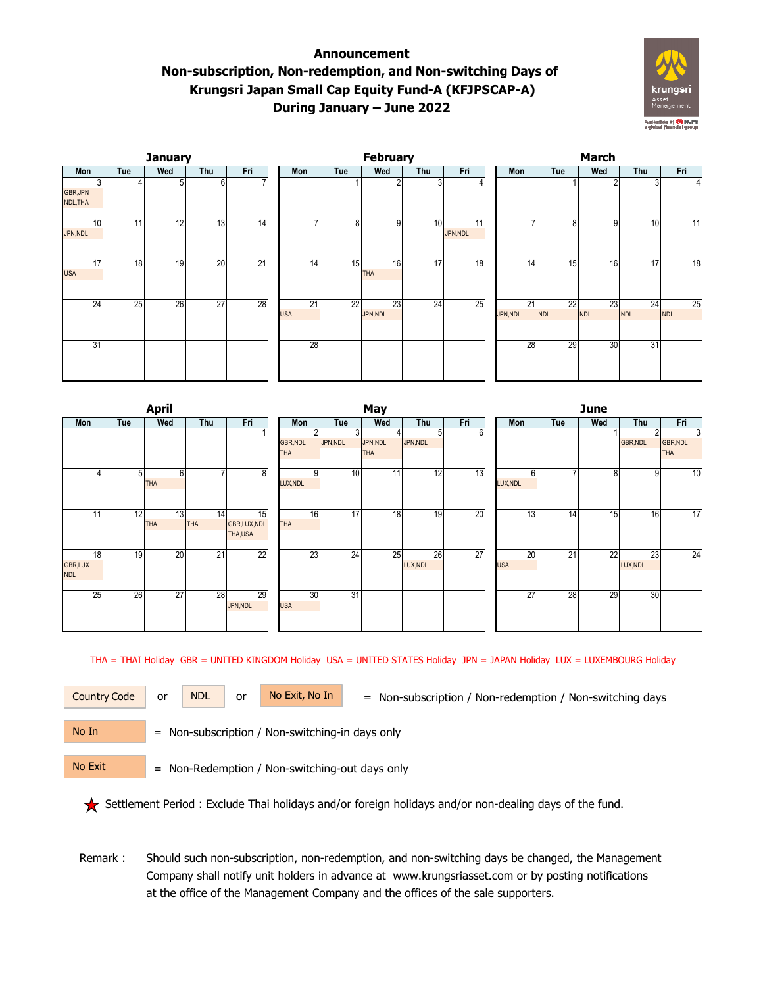## **Announcement Non-subscription, Non-redemption, and Non-switching Days of Krungsri Japan Small Cap Equity Fund-A (KFJPSCAP-A) During January – June 2022**



|                           |     | <b>January</b>  |                 |                 |                  |     | February         |     |                            | <b>March</b>   |                  |                  |                  |                  |  |  |
|---------------------------|-----|-----------------|-----------------|-----------------|------------------|-----|------------------|-----|----------------------------|----------------|------------------|------------------|------------------|------------------|--|--|
| Mon                       | Tue | Wed             | Thu             | Fri             | Mon              | Tue | Wed              | Thu | Fri                        | Mon            | Tue              | Wed              | Thu              | Fri              |  |  |
| 3<br>GBR, JPN<br>NDL, THA |     | 5               | 6               |                 |                  |     |                  | 3   |                            |                |                  | 2                |                  |                  |  |  |
| 10<br>JPN,NDL             | 11  | $\overline{12}$ | 13              | $\overline{14}$ |                  | 8   | 9                | 10  | $\overline{11}$<br>JPN,NDL |                | 8                | 9                | 10               | 11               |  |  |
| 17<br><b>USA</b>          | 18  | 19              | 20              | 21              | 14               | 15  | 16<br><b>THA</b> | 17  | $\overline{18}$            | 14             | 15               | 16               | 17               | $\overline{18}$  |  |  |
| 24                        | 25  | 26              | $\overline{27}$ | 28              | 21<br><b>USA</b> | 22  | 23<br>JPN, NDL   | 24  | 25                         | 21<br>JPN, NDL | 22<br><b>NDL</b> | 23<br><b>NDL</b> | 24<br><b>NDL</b> | 25<br><b>NDL</b> |  |  |
| 31                        |     |                 |                 |                 | 28               |     |                  |     |                            | 28             | 29               | 30               | 31               |                  |  |  |

|                                    |     | <b>April</b>     |                  |                              | May                           |                |              |                        |                |     |  |                  | <b>June</b>              |     |                 |                             |  |  |  |
|------------------------------------|-----|------------------|------------------|------------------------------|-------------------------------|----------------|--------------|------------------------|----------------|-----|--|------------------|--------------------------|-----|-----------------|-----------------------------|--|--|--|
| Mon                                | Tue | Wed              | Thu              | Fri                          | Mon                           |                | Tue          | Wed                    | Thu            | Fri |  | Mon              | Tue                      | Wed | Thu             | Fri                         |  |  |  |
|                                    |     |                  |                  |                              | <b>GBR, NDL</b><br><b>THA</b> | $\overline{2}$ | 3<br>JPN,NDL | JPN, NDL<br><b>THA</b> | 51<br>JPN,NDL  | 6   |  |                  |                          |     | <b>GBR, NDL</b> | 3<br>GBR, NDL<br><b>THA</b> |  |  |  |
|                                    | 51  | 6<br><b>THA</b>  |                  | $\overline{8}$               | LUX, NDL                      | 9              | 10           | 11                     | 12             | 13  |  | 6<br>LUX, NDL    | $\overline{\phantom{a}}$ | 8   | 9               | 10                          |  |  |  |
| 11 <sub>1</sub>                    | 12  | 13<br><b>THA</b> | 14<br><b>THA</b> | 15<br>GBR,LUX,NDL<br>THA,USA | <b>THA</b>                    | 16             | 17           | 18                     | 19             | 20  |  | 13               | $\overline{14}$          | 15  | 16              | 17                          |  |  |  |
| 18<br><b>GBR,LUX</b><br><b>NDL</b> | 19  | 20               | 21               | 22                           |                               | 23             | 24           | 25                     | 26<br>LUX, NDL | 27  |  | 20<br><b>USA</b> | $\overline{21}$          | 22  | 23<br>LUX, NDL  | 24                          |  |  |  |
| 25                                 | 26  | 27               | 28               | 29<br>JPN,NDL                | <b>USA</b>                    | 30             | 31           |                        |                |     |  | 27               | 28                       | 29  | 30              |                             |  |  |  |

THA = THAI Holiday GBR = UNITED KINGDOM Holiday USA = UNITED STATES Holiday JPN = JAPAN Holiday LUX = LUXEMBOURG Holiday

Country Code or NDL or No Exit, No In = Non-subscription / Non-redemption / Non-switching days

No In

or NDL or

= Non-subscription / Non-switching-in days only

No Exit

= Non-Redemption / Non-switching-out days only

Settlement Period : Exclude Thai holidays and/or foreign holidays and/or non-dealing days of the fund.

 Remark : Should such non-subscription, non-redemption, and non-switching days be changed, the Management Company shall notify unit holders in advance at www.krungsriasset.com or by posting notifications at the office of the Management Company and the offices of the sale supporters.